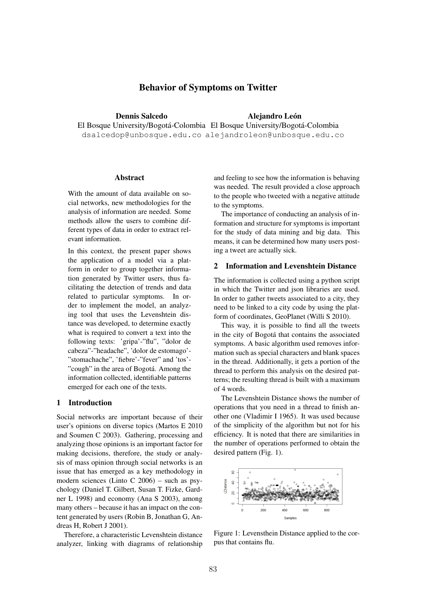# Behavior of Symptoms on Twitter

Dennis Salcedo

Alejandro León

El Bosque University/Bogotá-Colombia El Bosque University/Bogotá-Colombia dsalcedop@unbosque.edu.co alejandroleon@unbosque.edu.co

## Abstract

With the amount of data available on social networks, new methodologies for the analysis of information are needed. Some methods allow the users to combine different types of data in order to extract relevant information.

In this context, the present paper shows the application of a model via a platform in order to group together information generated by Twitter users, thus facilitating the detection of trends and data related to particular symptoms. In order to implement the model, an analyzing tool that uses the Levenshtein distance was developed, to determine exactly what is required to convert a text into the following texts: 'gripa'-"flu", "dolor de cabeza"-"headache", 'dolor de estomago'- "stomachache", 'fiebre'-"fever" and 'tos'- "cough" in the area of Bogotá. Among the information collected, identifiable patterns emerged for each one of the texts.

# 1 Introduction

Social networks are important because of their user's opinions on diverse topics (Martos E 2010 and Soumen C 2003). Gathering, processing and analyzing those opinions is an important factor for making decisions, therefore, the study or analysis of mass opinion through social networks is an issue that has emerged as a key methodology in modern sciences (Linto C 2006) – such as psychology (Daniel T. Gilbert, Susan T. Fizke, Gardner L 1998) and economy (Ana S 2003), among many others – because it has an impact on the content generated by users (Robin B, Jonathan G, Andreas H, Robert J 2001).

Therefore, a characteristic Levenshtein distance analyzer, linking with diagrams of relationship and feeling to see how the information is behaving was needed. The result provided a close approach to the people who tweeted with a negative attitude to the symptoms.

The importance of conducting an analysis of information and structure for symptoms is important for the study of data mining and big data. This means, it can be determined how many users posting a tweet are actually sick.

#### 2 Information and Levenshtein Distance

The information is collected using a python script in which the Twitter and json libraries are used. In order to gather tweets associated to a city, they need to be linked to a city code by using the platform of coordinates, GeoPlanet (Willi S 2010).

This way, it is possible to find all the tweets in the city of Bogotá that contains the associated symptoms. A basic algorithm used removes information such as special characters and blank spaces in the thread. Additionally, it gets a portion of the thread to perform this analysis on the desired patterns; the resulting thread is built with a maximum of 4 words.

The Levenshtein Distance shows the number of operations that you need in a thread to finish another one (Vladimir I 1965). It was used because of the simplicity of the algorithm but not for his efficiency. It is noted that there are similarities in the number of operations performed to obtain the desired pattern (Fig. 1).



Figure 1: Levensthein Distance applied to the corpus that contains flu.